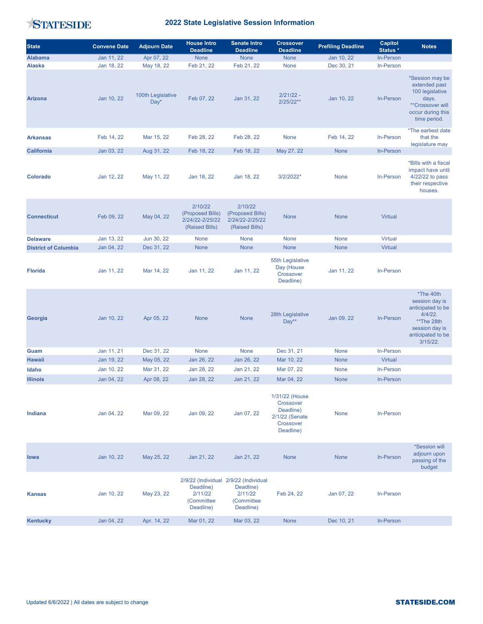STATESIDE

## 2022 State Legislative Session Information

| <b>State</b>                | <b>Convene Date</b> | <b>Adjourn Date</b>         | <b>House Intro</b><br><b>Deadline</b>                            | <b>Senate Intro</b><br><b>Deadline</b>                                                   | <b>Crossover</b><br><b>Deadline</b>                                                  | <b>Prefiling Deadline</b> | Capitol<br>Status * | <b>Notes</b>                                                                                                                       |
|-----------------------------|---------------------|-----------------------------|------------------------------------------------------------------|------------------------------------------------------------------------------------------|--------------------------------------------------------------------------------------|---------------------------|---------------------|------------------------------------------------------------------------------------------------------------------------------------|
| <b>Alabama</b>              | Jan 11, 22          | Apr 07, 22                  | None                                                             | None                                                                                     | None                                                                                 | Jan 10, 22                | In-Person           |                                                                                                                                    |
| <b>Alaska</b>               | Jan 18, 22          | May 18, 22                  | Feb 21, 22                                                       | Feb 21, 22                                                                               | None                                                                                 | Dec 30, 21                | In-Person           |                                                                                                                                    |
| <b>Arizona</b>              | Jan 10, 22          | 100th Legislative<br>$Day*$ | Feb 07, 22                                                       | Jan 31, 22                                                                               | $2/21/22 -$<br>$2/25/22**$                                                           | Jan 10, 22                | In-Person           | *Session may be<br>extended past<br>100 legislative<br>days.<br>**Crossover will<br>occur during this<br>time period.              |
| <b>Arkansas</b>             | Feb 14, 22          | Mar 15, 22                  | Feb 28, 22                                                       | Feb 28, 22                                                                               | None                                                                                 | Feb 14, 22                | In-Person           | *The earliest date<br>that the<br>legislature may                                                                                  |
| <b>California</b>           | Jan 03, 22          | Aug 31, 22                  | Feb 18, 22                                                       | Feb 18, 22                                                                               | May 27, 22                                                                           | None                      | <b>In-Person</b>    |                                                                                                                                    |
| <b>Colorado</b>             | Jan 12, 22          | May 11, 22                  | Jan 18, 22                                                       | Jan 18, 22                                                                               | 3/2/2022*                                                                            | None                      | <b>In-Person</b>    | *Bills with a fiscal<br>impact have until<br>4/22/22 to pass<br>their respective<br>houses.                                        |
| <b>Connecticut</b>          | Feb 09, 22          | May 04, 22                  | 2/10/22<br>(Proposed Bills)<br>2/24/22-2/25/22<br>(Raised Bills) | 2/10/22<br>(Proposed Bills)<br>2/24/22-2/25/22<br>(Raised Bills)                         | <b>None</b>                                                                          | <b>None</b>               | Virtual             |                                                                                                                                    |
| <b>Delaware</b>             | Jan 13, 22          | Jun 30, 22                  | None                                                             | None                                                                                     | None                                                                                 | None                      | <b>Virtual</b>      |                                                                                                                                    |
| <b>District of Columbia</b> | Jan 04, 22          | Dec 31, 22                  | None                                                             | <b>None</b>                                                                              | <b>None</b>                                                                          | <b>None</b>               | <b>Virtual</b>      |                                                                                                                                    |
| <b>Florida</b>              | Jan 11, 22          | Mar 14, 22                  | Jan 11, 22                                                       | Jan 11, 22                                                                               | 55th Legislative<br>Day (House<br>Crossover<br>Deadline)                             | Jan 11, 22                | In-Person           |                                                                                                                                    |
| Georgia                     | Jan 10, 22          | Apr 05, 22                  | <b>None</b>                                                      | <b>None</b>                                                                              | 28th Legislative<br>Day**                                                            | Jan 09, 22                | In-Person           | *The 40th<br>session day is<br>anticipated to be<br>$4/4/22$ .<br>**The 28th<br>session day is<br>anticipated to be<br>$3/15/22$ . |
| Guam                        | Jan 11, 21          | Dec 31, 22                  | None                                                             | None                                                                                     | Dec 31, 21                                                                           | None                      | In-Person           |                                                                                                                                    |
| <b>Hawaii</b>               | Jan 19, 22          | May 05, 22                  | Jan 26, 22                                                       | Jan 26, 22                                                                               | Mar 10, 22                                                                           | None                      | <b>Virtual</b>      |                                                                                                                                    |
| Idaho                       | Jan 10, 22          | Mar 31, 22                  | Jan 28, 22                                                       | Jan 21, 22                                                                               | Mar 07, 22                                                                           | None                      | In-Person           |                                                                                                                                    |
| <b>Illinois</b>             | Jan 04, 22          | Apr 08, 22                  | Jan 28, 22                                                       | Jan 21, 22                                                                               | Mar 04, 22                                                                           | None                      | In-Person           |                                                                                                                                    |
| Indiana                     | Jan 04, 22          | Mar 09, 22                  | Jan 09, 22                                                       | Jan 07, 22                                                                               | 1/31/22 (House<br>Crossover<br>Deadline)<br>2/1/22 (Senate<br>Crossover<br>Deadline) | None                      | In-Person           |                                                                                                                                    |
| lowa                        | Jan 10, 22          | May 25, 22                  | Jan 21, 22                                                       | Jan 21, 22                                                                               | None                                                                                 | None                      | In-Person           | <i><b>*Session will</b></i><br>adjourn upon<br>passing of the<br>budget                                                            |
| <b>Kansas</b>               | Jan 10, 22          | May 23, 22                  | Deadline)<br>2/11/22<br>(Committee)<br>Deadline)                 | 2/9/22 (Individual 2/9/22 (Individual<br>Deadline)<br>2/11/22<br>(Committee<br>Deadline) | Feb 24, 22                                                                           | Jan 07, 22                | <b>In-Person</b>    |                                                                                                                                    |
| <b>Kentucky</b>             | Jan 04, 22          | Apr. 14, 22                 | Mar 01, 22                                                       | Mar 03, 22                                                                               | None                                                                                 | Dec 10, 21                | In-Person           |                                                                                                                                    |
|                             |                     |                             |                                                                  |                                                                                          |                                                                                      |                           |                     |                                                                                                                                    |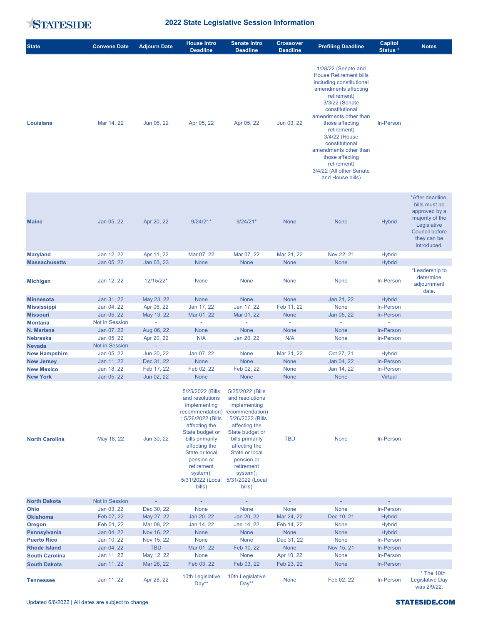

## 2022 State Legislative Session Information

| <b>State</b> | <b>Convene Date</b> | <b>Adjourn Date</b> | <b>House Intro</b><br><b>Deadline</b> | <b>Senate Intro</b><br><b>Deadline</b> | <b>Crossover</b><br><b>Deadline</b> | <b>Prefiling Deadline</b>                                                                                                                                                                                                                                                                                                                                            | Capitol<br>Status * | <b>Notes</b> |
|--------------|---------------------|---------------------|---------------------------------------|----------------------------------------|-------------------------------------|----------------------------------------------------------------------------------------------------------------------------------------------------------------------------------------------------------------------------------------------------------------------------------------------------------------------------------------------------------------------|---------------------|--------------|
| Louisiana    | Mar 14, 22          | Jun 06, 22          | Apr 05, 22                            | Apr 05, 22                             | Jun 03, 22                          | 1/28/22 (Senate and<br><b>House Retirement bills</b><br>including constitutional<br>amendments affecting<br>retirement)<br>3/3/22 (Senate<br>constitutional<br>amendments other than<br>those affecting<br>retirement)<br>3/4/22 (House<br>constitutional<br>amendments other than<br>those affecting<br>retirement)<br>3/4/22 (All other Senate<br>and House bills) | In-Person           |              |

| <b>Maine</b>         | Jan 05, 22            | Apr 20, 22     | $9/24/21*$  | $9/24/21*$  | <b>None</b> | <b>None</b>              | <b>Hybrid</b>            | *After deadline,<br>bills must be<br>approved by a<br>majority of the<br>Legislative<br><b>Council before</b><br>they can be<br>introduced. |
|----------------------|-----------------------|----------------|-------------|-------------|-------------|--------------------------|--------------------------|---------------------------------------------------------------------------------------------------------------------------------------------|
| <b>Maryland</b>      | Jan 12, 22            | Apr 11, 22     | Mar 07, 22  | Mar 07, 22  | Mar 21, 22  | Nov 22, 21               | <b>Hybrid</b>            |                                                                                                                                             |
| <b>Massachusetts</b> | Jan 05, 22            | Jan 03, 23     | <b>None</b> | <b>None</b> | <b>None</b> | <b>None</b>              | <b>Hybrid</b>            |                                                                                                                                             |
| <b>Michigan</b>      | Jan 12, 22            | 12/15/22*      | None        | None        | None        | None                     | In-Person                | *Leadership to<br>determine<br>adjournment<br>date.                                                                                         |
| <b>Minnesota</b>     | Jan 31, 22            | May 23, 22     | <b>None</b> | <b>None</b> | <b>None</b> | Jan 21, 22               | <b>Hybrid</b>            |                                                                                                                                             |
| <b>Mississippi</b>   | Jan 04, 22            | Apr 06, 22     | Jan 17, 22  | Jan 17, 22  | Feb 11, 22  | None                     | In-Person                |                                                                                                                                             |
| <b>Missouri</b>      | Jan 05, 22            | May 13, 22     | Mar 01, 22  | Mar 01, 22  | <b>None</b> | Jan 05, 22               | <b>In-Person</b>         |                                                                                                                                             |
| <b>Montana</b>       | <b>Not in Session</b> | $\sim$         | $\sim$      | ÷           | $\sim$      | $\overline{\phantom{a}}$ | $\overline{\phantom{a}}$ |                                                                                                                                             |
| N. Mariana           | Jan 07, 22            | Aug 06, 22     | <b>None</b> | <b>None</b> | <b>None</b> | <b>None</b>              | <b>In-Person</b>         |                                                                                                                                             |
| <b>Nebraska</b>      | Jan 05, 22            | Apr 20, 22     | N/A         | Jan 20, 22  | N/A         | None                     | In-Person                |                                                                                                                                             |
| <b>Nevada</b>        | Not in Session        | $\blacksquare$ | $\sim$      | $\sim$      | $\sim$      | $\sim$                   | $\sim$                   |                                                                                                                                             |
| <b>New Hampshire</b> | Jan 05, 22            | Jun 30, 22     | Jan 07, 22  | None        | Mar 31, 22  | Oct 27, 21               | <b>Hybrid</b>            |                                                                                                                                             |
| <b>New Jersey</b>    | Jan 11, 22            | Dec 31, 22     | None        | <b>None</b> | None        | Jan 04, 22               | In-Person                |                                                                                                                                             |
| <b>New Mexico</b>    | Jan 18, 22            | Feb 17, 22     | Feb 02, 22  | Feb 02, 22  | <b>None</b> | Jan 14, 22               | <b>In-Person</b>         |                                                                                                                                             |
| <b>New York</b>      | Jan 05, 22            | Jun 02, 22     | <b>None</b> | <b>None</b> | <b>None</b> | <b>None</b>              | <b>Virtual</b>           |                                                                                                                                             |

| <b>North Carolina</b> | May 18, 22            | Jun 30, 22 | 5/25/2022 (Bills)<br>and resolutions<br>implementing<br>recommendation) recommendation)<br>; 5/26/2022 (Bills<br>affecting the<br>State budget or<br>bills primarily<br>affecting the<br>State or local<br>pension or<br>retirement<br>system);<br>5/31/2022 (Local<br>bills) | 5/25/2022 (Bills)<br>and resolutions<br>implementing<br>; 5/26/2022 (Bills<br>affecting the<br>State budget or<br>bills primarily<br>affecting the<br>State or local<br>pension or<br>retirement<br>system);<br>5/31/2022 (Local<br>bills) | <b>TBD</b>  | <b>None</b>              | In-Person                |                                                      |
|-----------------------|-----------------------|------------|-------------------------------------------------------------------------------------------------------------------------------------------------------------------------------------------------------------------------------------------------------------------------------|--------------------------------------------------------------------------------------------------------------------------------------------------------------------------------------------------------------------------------------------|-------------|--------------------------|--------------------------|------------------------------------------------------|
| <b>North Dakota</b>   | <b>Not in Session</b> |            |                                                                                                                                                                                                                                                                               |                                                                                                                                                                                                                                            |             | $\overline{\phantom{a}}$ | $\overline{\phantom{a}}$ |                                                      |
| Ohio                  | Jan 03, 22            | Dec 30, 22 | <b>None</b>                                                                                                                                                                                                                                                                   | None                                                                                                                                                                                                                                       | <b>None</b> | <b>None</b>              | In-Person                |                                                      |
| <b>Oklahoma</b>       | Feb 07, 22            | May 27, 22 | Jan 20, 22                                                                                                                                                                                                                                                                    | Jan 20, 22                                                                                                                                                                                                                                 | Mar 24, 22  | Dec 10, 21               | <b>Hybrid</b>            |                                                      |
| Oregon                | Feb 01, 22            | Mar 08, 22 | Jan 14, 22                                                                                                                                                                                                                                                                    | Jan 14, 22                                                                                                                                                                                                                                 | Feb 14, 22  | None                     | <b>Hybrid</b>            |                                                      |
| Pennsylvania          | Jan 04, 22            | Nov 16, 22 | <b>None</b>                                                                                                                                                                                                                                                                   | None                                                                                                                                                                                                                                       | None        | None                     | <b>Hybrid</b>            |                                                      |
| <b>Puerto Rico</b>    | Jan 10, 22            | Nov 15, 22 | <b>None</b>                                                                                                                                                                                                                                                                   | <b>None</b>                                                                                                                                                                                                                                | Dec 31, 22  | <b>None</b>              | In-Person                |                                                      |
| <b>Rhode Island</b>   | Jan 04, 22            | <b>TBD</b> | Mar 01, 22                                                                                                                                                                                                                                                                    | Feb 10, 22                                                                                                                                                                                                                                 | None        | Nov 15, 21               | In-Person                |                                                      |
| <b>South Carolina</b> | Jan 11, 22            | May 12, 22 | <b>None</b>                                                                                                                                                                                                                                                                   | <b>None</b>                                                                                                                                                                                                                                | Apr 10, 22  | <b>None</b>              | In-Person                |                                                      |
| <b>South Dakota</b>   | Jan 11, 22            | Mar 28, 22 | Feb 03, 22                                                                                                                                                                                                                                                                    | Feb 03, 22                                                                                                                                                                                                                                 | Feb 23, 22  | <b>None</b>              | In-Person                |                                                      |
| <b>Tennessee</b>      | Jan 11, 22            | Apr 28, 22 | 10th Legislative<br>$Day**$                                                                                                                                                                                                                                                   | 10th Legislative<br>$Day**$                                                                                                                                                                                                                | <b>None</b> | Feb 02, 22               | <b>In-Person</b>         | $*$ The 10th<br>Legislative Day<br><b>Was 2/9/22</b> |

was 2/9/22.